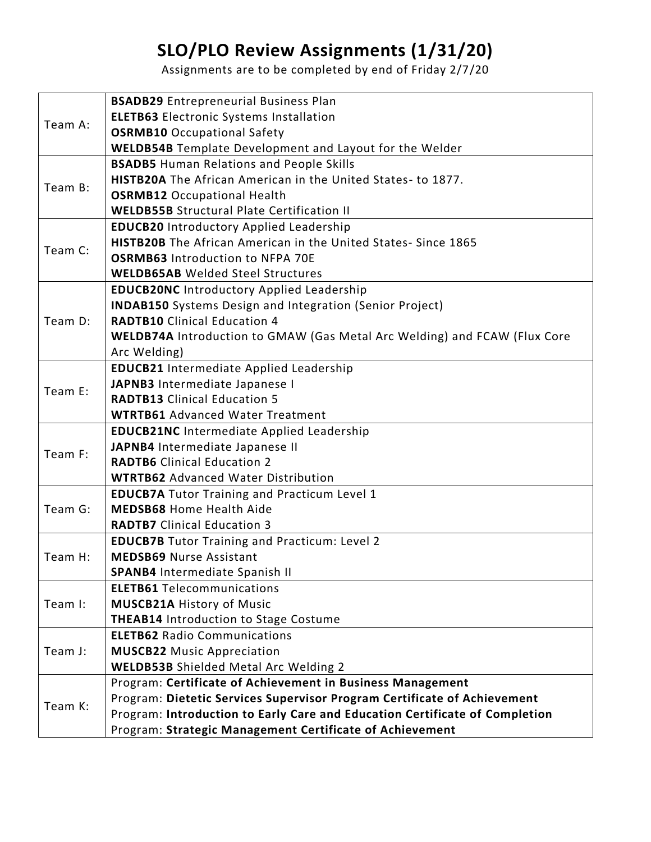## **SLO/PLO Review Assignments (1/31/20)**

Assignments are to be completed by end of Friday 2/7/20

| Team A: | <b>BSADB29</b> Entrepreneurial Business Plan                                     |
|---------|----------------------------------------------------------------------------------|
|         | <b>ELETB63</b> Electronic Systems Installation                                   |
|         | <b>OSRMB10</b> Occupational Safety                                               |
|         | <b>WELDB54B</b> Template Development and Layout for the Welder                   |
| Team B: | <b>BSADB5</b> Human Relations and People Skills                                  |
|         | <b>HISTB20A</b> The African American in the United States-to 1877.               |
|         | <b>OSRMB12</b> Occupational Health                                               |
|         | <b>WELDB55B Structural Plate Certification II</b>                                |
| Team C: | <b>EDUCB20 Introductory Applied Leadership</b>                                   |
|         | HISTB20B The African American in the United States-Since 1865                    |
|         | <b>OSRMB63</b> Introduction to NFPA 70E                                          |
|         | <b>WELDB65AB</b> Welded Steel Structures                                         |
| Team D: | <b>EDUCB20NC Introductory Applied Leadership</b>                                 |
|         | <b>INDAB150</b> Systems Design and Integration (Senior Project)                  |
|         | <b>RADTB10</b> Clinical Education 4                                              |
|         | <b>WELDB74A</b> Introduction to GMAW (Gas Metal Arc Welding) and FCAW (Flux Core |
|         | Arc Welding)                                                                     |
| Team E: | <b>EDUCB21</b> Intermediate Applied Leadership                                   |
|         | JAPNB3 Intermediate Japanese I                                                   |
|         | <b>RADTB13</b> Clinical Education 5                                              |
|         | <b>WTRTB61</b> Advanced Water Treatment                                          |
| Team F: | <b>EDUCB21NC</b> Intermediate Applied Leadership                                 |
|         | JAPNB4 Intermediate Japanese II                                                  |
|         | <b>RADTB6</b> Clinical Education 2                                               |
|         | <b>WTRTB62</b> Advanced Water Distribution                                       |
| Team G: | <b>EDUCB7A</b> Tutor Training and Practicum Level 1                              |
|         | <b>MEDSB68 Home Health Aide</b>                                                  |
|         | <b>RADTB7</b> Clinical Education 3                                               |
| Team H: | <b>EDUCB7B</b> Tutor Training and Practicum: Level 2                             |
|         | <b>MEDSB69 Nurse Assistant</b>                                                   |
|         | SPANB4 Intermediate Spanish II                                                   |
| Team I: | <b>ELETB61 Telecommunications</b>                                                |
|         | <b>MUSCB21A History of Music</b>                                                 |
|         | <b>THEAB14</b> Introduction to Stage Costume                                     |
| Team J: | <b>ELETB62 Radio Communications</b>                                              |
|         | <b>MUSCB22 Music Appreciation</b>                                                |
|         | <b>WELDB53B</b> Shielded Metal Arc Welding 2                                     |
| Team K: | Program: Certificate of Achievement in Business Management                       |
|         | Program: Dietetic Services Supervisor Program Certificate of Achievement         |
|         | Program: Introduction to Early Care and Education Certificate of Completion      |
|         | Program: Strategic Management Certificate of Achievement                         |